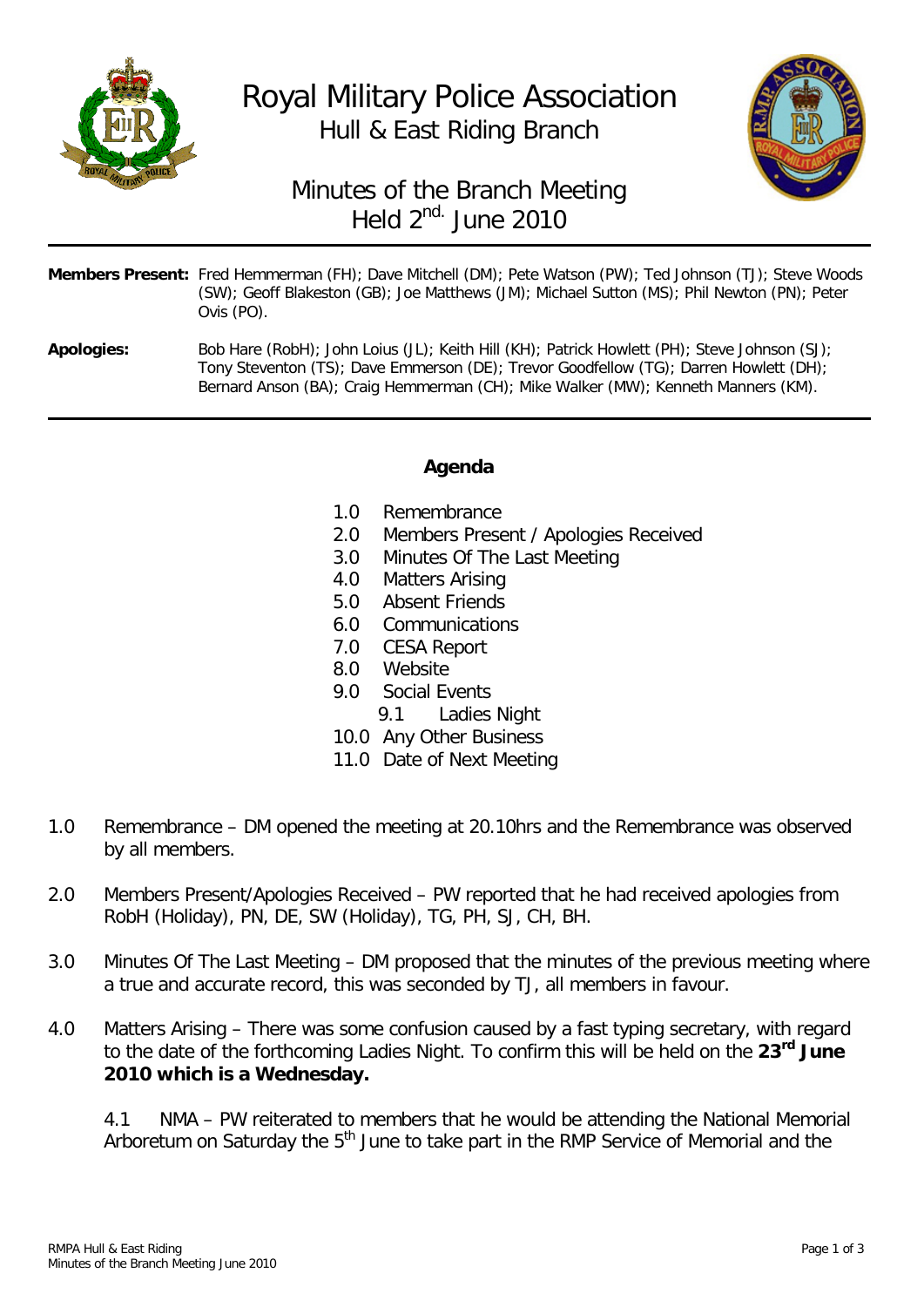



## Minutes of the Branch Meeting Held  $2^{nd}$ . June 2010

|                   | <b>Members Present:</b> Fred Hemmerman (FH); Dave Mitchell (DM); Pete Watson (PW); Ted Johnson (TJ); Steve Woods<br>(SW); Geoff Blakeston (GB); Joe Matthews (JM); Michael Sutton (MS); Phil Newton (PN); Peter<br>Ovis (PO).                                              |
|-------------------|----------------------------------------------------------------------------------------------------------------------------------------------------------------------------------------------------------------------------------------------------------------------------|
| <b>Apologies:</b> | Bob Hare (RobH); John Loius (JL); Keith Hill (KH); Patrick Howlett (PH); Steve Johnson (SJ);<br>Tony Steventon (TS); Dave Emmerson (DE); Trevor Goodfellow (TG); Darren Howlett (DH);<br>Bernard Anson (BA); Craig Hemmerman (CH); Mike Walker (MW); Kenneth Manners (KM). |

## **Agenda**

- 
- 1.0 Remembrance<br>2.0 Members Prese 2.0 Members Present / Apologies Received<br>3.0 Minutes Of The Last Meeting
- Minutes Of The Last Meeting
- 4.0 Matters Arising<br>5.0 Absent Friends
- Absent Friends
- 6.0 Communications
- 7.0 CESA Report
- 8.0 Website
- 9.0 Social Events
	- 9.1 Ladies Night
- 10.0 Any Other Business
- 11.0 Date of Next Meeting
- 1.0 Remembrance DM opened the meeting at 20.10hrs and the Remembrance was observed by all members.
- 2.0 Members Present/Apologies Received PW reported that he had received apologies from RobH (Holiday), PN, DE, SW (Holiday), TG, PH, SJ, CH, BH.
- 3.0 Minutes Of The Last Meeting DM proposed that the minutes of the previous meeting where a true and accurate record, this was seconded by TJ, all members in favour.
- 4.0 Matters Arising There was some confusion caused by a fast typing secretary, with regard to the date of the forthcoming Ladies Night. To confirm this will be held on the **23rd June 2010 which is a Wednesday.**

4.1 NMA – PW reiterated to members that he would be attending the National Memorial Arboretum on Saturday the  $5<sup>th</sup>$  June to take part in the RMP Service of Memorial and the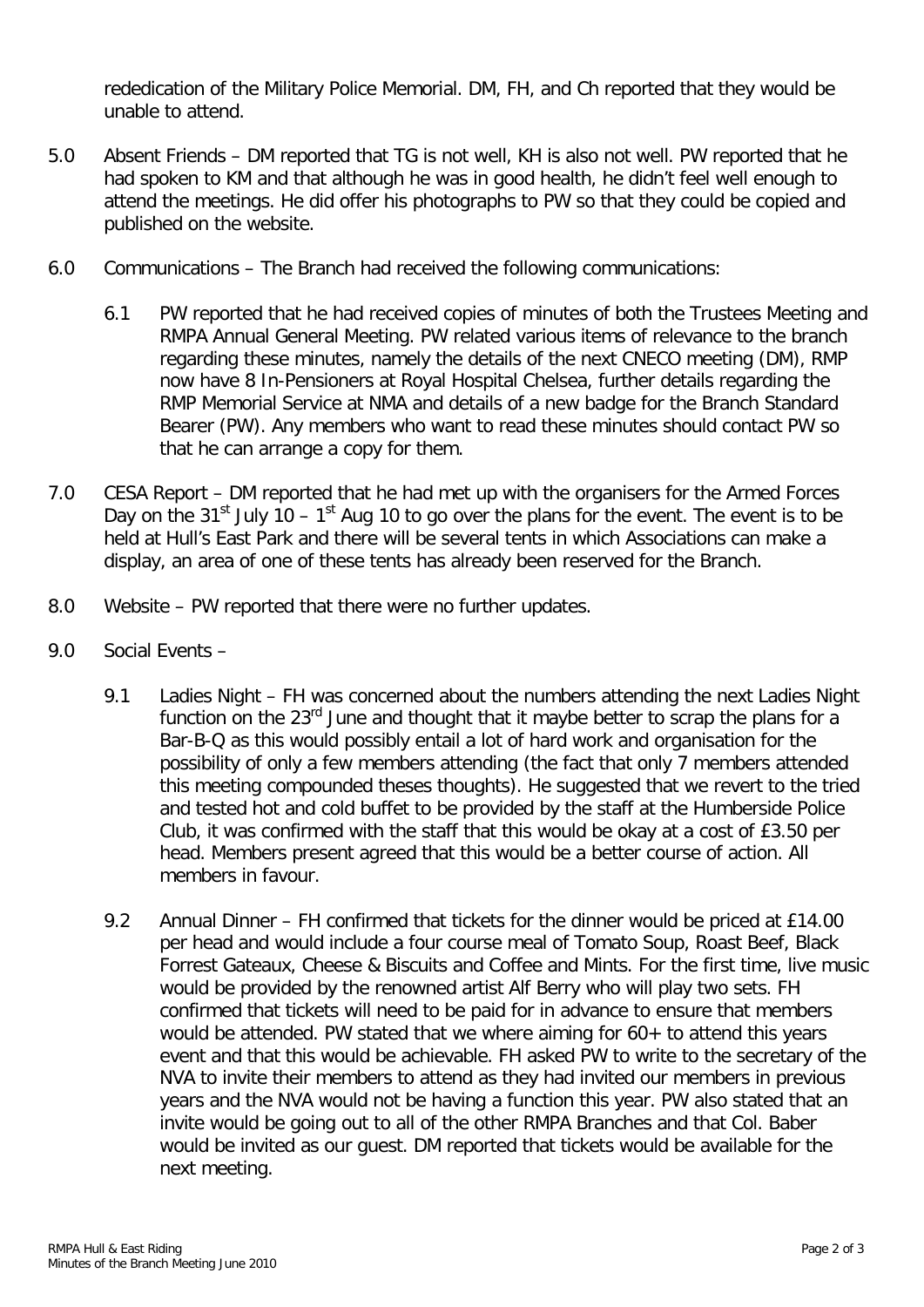rededication of the Military Police Memorial. DM, FH, and Ch reported that they would be unable to attend.

- 5.0 Absent Friends DM reported that TG is not well, KH is also not well. PW reported that he had spoken to KM and that although he was in good health, he didn't feel well enough to attend the meetings. He did offer his photographs to PW so that they could be copied and published on the website.
- 6.0 Communications The Branch had received the following communications:
	- 6.1 PW reported that he had received copies of minutes of both the Trustees Meeting and RMPA Annual General Meeting. PW related various items of relevance to the branch regarding these minutes, namely the details of the next CNECO meeting (DM), RMP now have 8 In-Pensioners at Royal Hospital Chelsea, further details regarding the RMP Memorial Service at NMA and details of a new badge for the Branch Standard Bearer (PW). Any members who want to read these minutes should contact PW so that he can arrange a copy for them.
- 7.0 CESA Report DM reported that he had met up with the organisers for the Armed Forces Day on the 31<sup>st</sup> July 10 – 1<sup>st</sup> Aug 10 to go over the plans for the event. The event is to be held at Hull's East Park and there will be several tents in which Associations can make a display, an area of one of these tents has already been reserved for the Branch.
- 8.0 Website PW reported that there were no further updates.
- 9.0 Social Events
	- 9.1 Ladies Night FH was concerned about the numbers attending the next Ladies Night function on the  $23<sup>rd</sup>$  June and thought that it maybe better to scrap the plans for a Bar-B-Q as this would possibly entail a lot of hard work and organisation for the possibility of only a few members attending (the fact that only 7 members attended this meeting compounded theses thoughts). He suggested that we revert to the tried and tested hot and cold buffet to be provided by the staff at the Humberside Police Club, it was confirmed with the staff that this would be okay at a cost of £3.50 per head. Members present agreed that this would be a better course of action. All members in favour.
	- 9.2 Annual Dinner FH confirmed that tickets for the dinner would be priced at £14.00 per head and would include a four course meal of Tomato Soup, Roast Beef, Black Forrest Gateaux, Cheese & Biscuits and Coffee and Mints. For the first time, live music would be provided by the renowned artist Alf Berry who will play two sets. FH confirmed that tickets will need to be paid for in advance to ensure that members would be attended. PW stated that we where aiming for 60+ to attend this years event and that this would be achievable. FH asked PW to write to the secretary of the NVA to invite their members to attend as they had invited our members in previous years and the NVA would not be having a function this year. PW also stated that an invite would be going out to all of the other RMPA Branches and that Col. Baber would be invited as our guest. DM reported that tickets would be available for the next meeting.